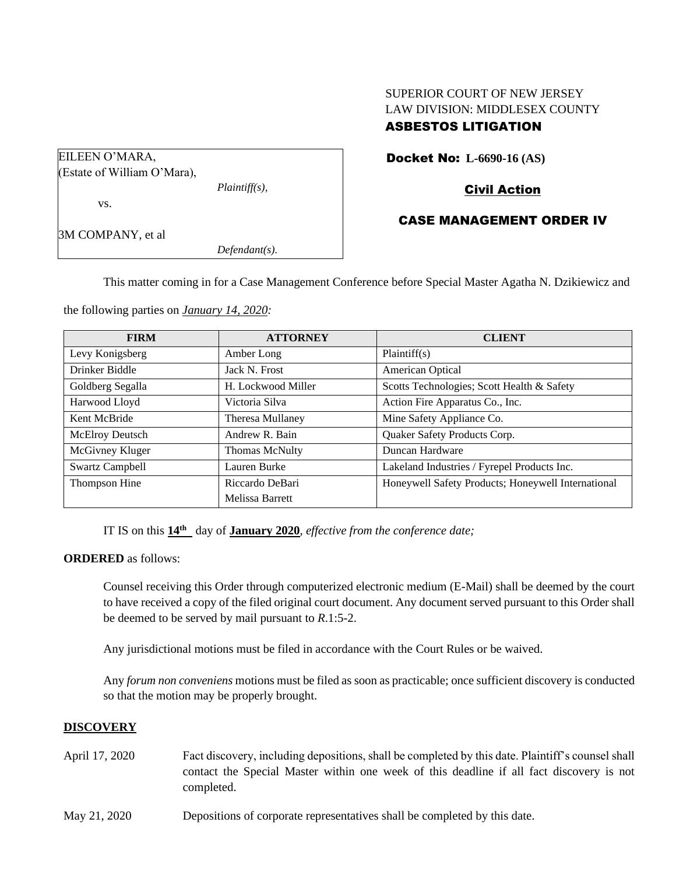# SUPERIOR COURT OF NEW JERSEY LAW DIVISION: MIDDLESEX COUNTY

# ASBESTOS LITIGATION

Docket No: **L-6690-16 (AS)**

# Civil Action

# CASE MANAGEMENT ORDER IV

*Defendant(s).*

*Plaintiff(s),*

This matter coming in for a Case Management Conference before Special Master Agatha N. Dzikiewicz and

the following parties on *January 14, 2020:*

EILEEN O'MARA,

vs.

3M COMPANY, et al

(Estate of William O'Mara),

| <b>FIRM</b>            | <b>ATTORNEY</b>       | <b>CLIENT</b>                                      |
|------------------------|-----------------------|----------------------------------------------------|
| Levy Konigsberg        | Amber Long            | Plaintiff(s)                                       |
| Drinker Biddle         | Jack N. Frost         | American Optical                                   |
| Goldberg Segalla       | H. Lockwood Miller    | Scotts Technologies; Scott Health & Safety         |
| Harwood Lloyd          | Victoria Silva        | Action Fire Apparatus Co., Inc.                    |
| Kent McBride           | Theresa Mullaney      | Mine Safety Appliance Co.                          |
| McElroy Deutsch        | Andrew R. Bain        | Quaker Safety Products Corp.                       |
| McGivney Kluger        | <b>Thomas McNulty</b> | Duncan Hardware                                    |
| <b>Swartz Campbell</b> | Lauren Burke          | Lakeland Industries / Fyrepel Products Inc.        |
| Thompson Hine          | Riccardo DeBari       | Honeywell Safety Products; Honeywell International |
|                        | Melissa Barrett       |                                                    |

IT IS on this **14th** day of **January 2020**, *effective from the conference date;*

**ORDERED** as follows:

Counsel receiving this Order through computerized electronic medium (E-Mail) shall be deemed by the court to have received a copy of the filed original court document. Any document served pursuant to this Order shall be deemed to be served by mail pursuant to *R*.1:5-2.

Any jurisdictional motions must be filed in accordance with the Court Rules or be waived.

Any *forum non conveniens* motions must be filed as soon as practicable; once sufficient discovery is conducted so that the motion may be properly brought.

## **DISCOVERY**

- April 17, 2020 Fact discovery, including depositions, shall be completed by this date. Plaintiff's counsel shall contact the Special Master within one week of this deadline if all fact discovery is not completed.
- May 21, 2020 Depositions of corporate representatives shall be completed by this date.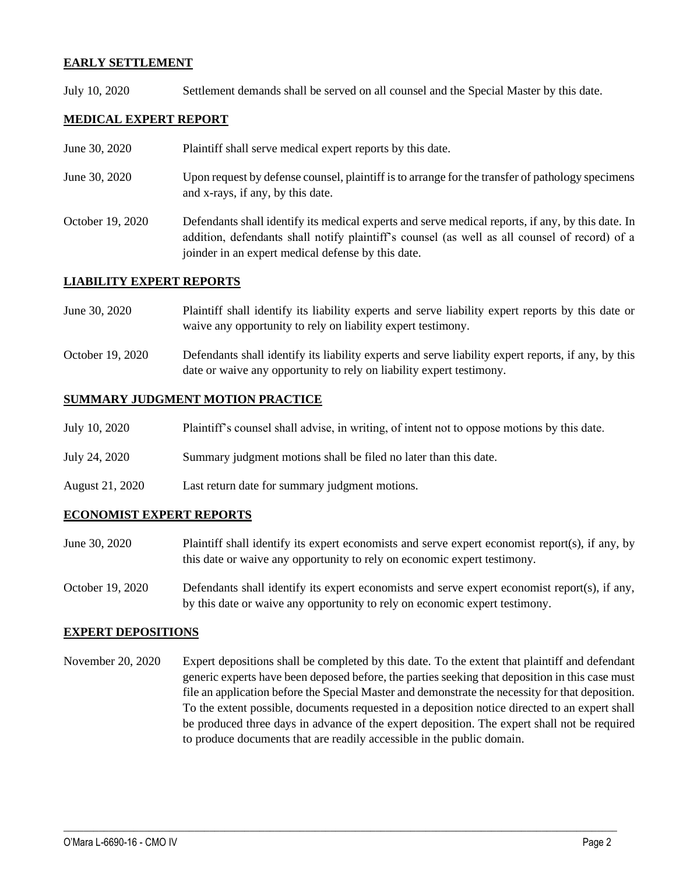## **EARLY SETTLEMENT**

July 10, 2020 Settlement demands shall be served on all counsel and the Special Master by this date.

## **MEDICAL EXPERT REPORT**

- June 30, 2020 Plaintiff shall serve medical expert reports by this date.
- June 30, 2020 Upon request by defense counsel, plaintiff is to arrange for the transfer of pathology specimens and x-rays, if any, by this date.
- October 19, 2020 Defendants shall identify its medical experts and serve medical reports, if any, by this date. In addition, defendants shall notify plaintiff's counsel (as well as all counsel of record) of a joinder in an expert medical defense by this date.

## **LIABILITY EXPERT REPORTS**

- June 30, 2020 Plaintiff shall identify its liability experts and serve liability expert reports by this date or waive any opportunity to rely on liability expert testimony.
- October 19, 2020 Defendants shall identify its liability experts and serve liability expert reports, if any, by this date or waive any opportunity to rely on liability expert testimony.

#### **SUMMARY JUDGMENT MOTION PRACTICE**

| July 10, 2020<br>Plaintiff's counsel shall advise, in writing, of intent not to oppose motions by this date. |  |  |  |
|--------------------------------------------------------------------------------------------------------------|--|--|--|
|--------------------------------------------------------------------------------------------------------------|--|--|--|

- July 24, 2020 Summary judgment motions shall be filed no later than this date.
- August 21, 2020 Last return date for summary judgment motions.

## **ECONOMIST EXPERT REPORTS**

- June 30, 2020 Plaintiff shall identify its expert economists and serve expert economist report(s), if any, by this date or waive any opportunity to rely on economic expert testimony.
- October 19, 2020 Defendants shall identify its expert economists and serve expert economist report(s), if any, by this date or waive any opportunity to rely on economic expert testimony.

## **EXPERT DEPOSITIONS**

November 20, 2020 Expert depositions shall be completed by this date. To the extent that plaintiff and defendant generic experts have been deposed before, the parties seeking that deposition in this case must file an application before the Special Master and demonstrate the necessity for that deposition. To the extent possible, documents requested in a deposition notice directed to an expert shall be produced three days in advance of the expert deposition. The expert shall not be required to produce documents that are readily accessible in the public domain.

 $\_$  , and the set of the set of the set of the set of the set of the set of the set of the set of the set of the set of the set of the set of the set of the set of the set of the set of the set of the set of the set of th